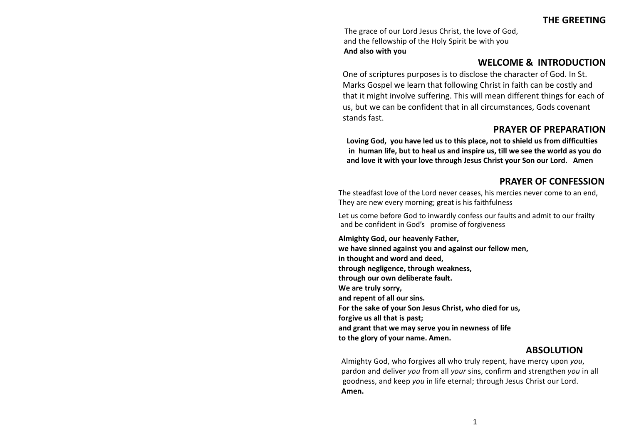The grace of our Lord Jesus Christ, the love of God, and the fellowship of the Holy Spirit be with you **And also with you**

# **WELCOME & INTRODUCTION**

One of scriptures purposes is to disclose the character of God. In St. Marks Gospel we learn that following Christ in faith can be costly and that it might involve suffering. This will mean different things for each of us, but we can be confident that in all circumstances, Gods covenant stands fast.

# **PRAYER OF PREPARATION**

**Loving God, you have led us to this place, not to shield us from difficulties in human life, but to heal us and inspire us, till we see the world as you do and love it with your love through Jesus Christ your Son our Lord. Amen** 

# **PRAYER OF CONFESSION**

The steadfast love of the Lord never ceases, his mercies never come to an end, They are new every morning; great is his faithfulness

Let us come before God to inwardly confess our faults and admit to our frailty and be confident in God's promise of forgiveness

**Almighty God, our heavenly Father, we have sinned against you and against our fellow men, in thought and word and deed, through negligence, through weakness, through our own deliberate fault. We are truly sorry, and repent of all our sins. For the sake of your Son Jesus Christ, who died for us, forgive us all that is past; and grant that we may serve you in newness of life to the glory of your name. Amen.**

# **ABSOLUTION**

Almighty God, who forgives all who truly repent, have mercy upon *you*, pardon and deliver *you* from all *your* sins, confirm and strengthen *you* in all goodness, and keep *you* in life eternal; through Jesus Christ our Lord. **Amen.**